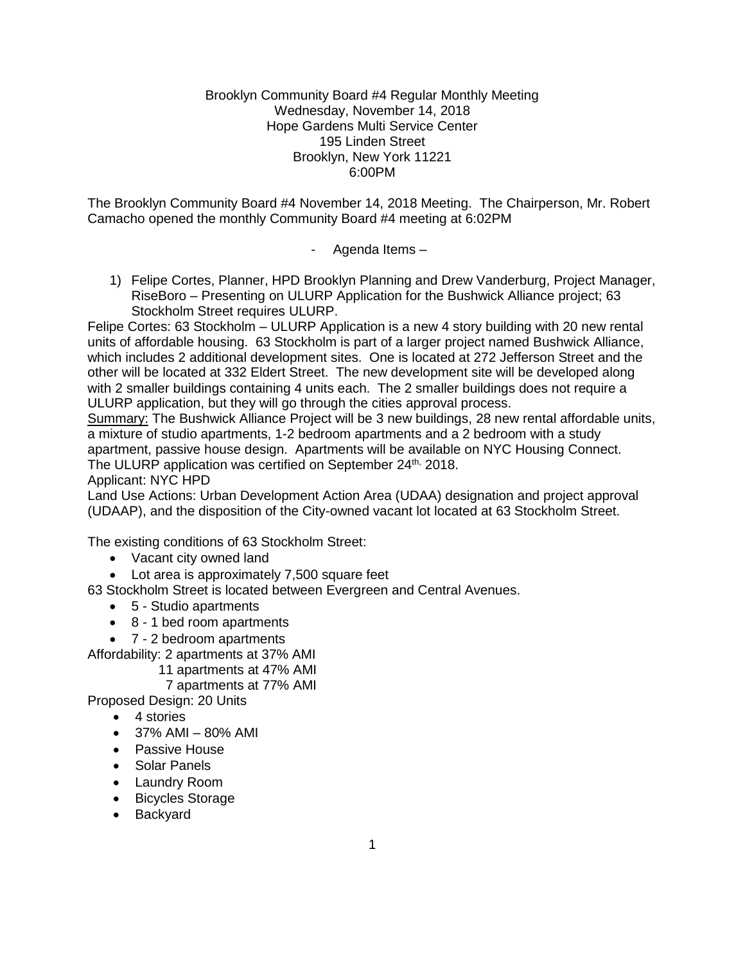#### Brooklyn Community Board #4 Regular Monthly Meeting Wednesday, November 14, 2018 Hope Gardens Multi Service Center 195 Linden Street Brooklyn, New York 11221 6:00PM

The Brooklyn Community Board #4 November 14, 2018 Meeting. The Chairperson, Mr. Robert Camacho opened the monthly Community Board #4 meeting at 6:02PM

- Agenda Items –

1) Felipe Cortes, Planner, HPD Brooklyn Planning and Drew Vanderburg, Project Manager, RiseBoro – Presenting on ULURP Application for the Bushwick Alliance project; 63 Stockholm Street requires ULURP.

Felipe Cortes: 63 Stockholm – ULURP Application is a new 4 story building with 20 new rental units of affordable housing. 63 Stockholm is part of a larger project named Bushwick Alliance, which includes 2 additional development sites. One is located at 272 Jefferson Street and the other will be located at 332 Eldert Street. The new development site will be developed along with 2 smaller buildings containing 4 units each. The 2 smaller buildings does not require a ULURP application, but they will go through the cities approval process.

Summary: The Bushwick Alliance Project will be 3 new buildings, 28 new rental affordable units, a mixture of studio apartments, 1-2 bedroom apartments and a 2 bedroom with a study apartment, passive house design. Apartments will be available on NYC Housing Connect. The ULURP application was certified on September 24<sup>th,</sup> 2018.

Applicant: NYC HPD

Land Use Actions: Urban Development Action Area (UDAA) designation and project approval (UDAAP), and the disposition of the City-owned vacant lot located at 63 Stockholm Street.

The existing conditions of 63 Stockholm Street:

- Vacant city owned land
- Lot area is approximately 7,500 square feet

63 Stockholm Street is located between Evergreen and Central Avenues.

- 5 Studio apartments
- 8 1 bed room apartments
- 7 2 bedroom apartments

Affordability: 2 apartments at 37% AMI

11 apartments at 47% AMI

7 apartments at 77% AMI

Proposed Design: 20 Units

- 4 stories
- $\bullet$  37% AMI 80% AMI
- Passive House
- Solar Panels
- Laundry Room
- Bicycles Storage
- Backyard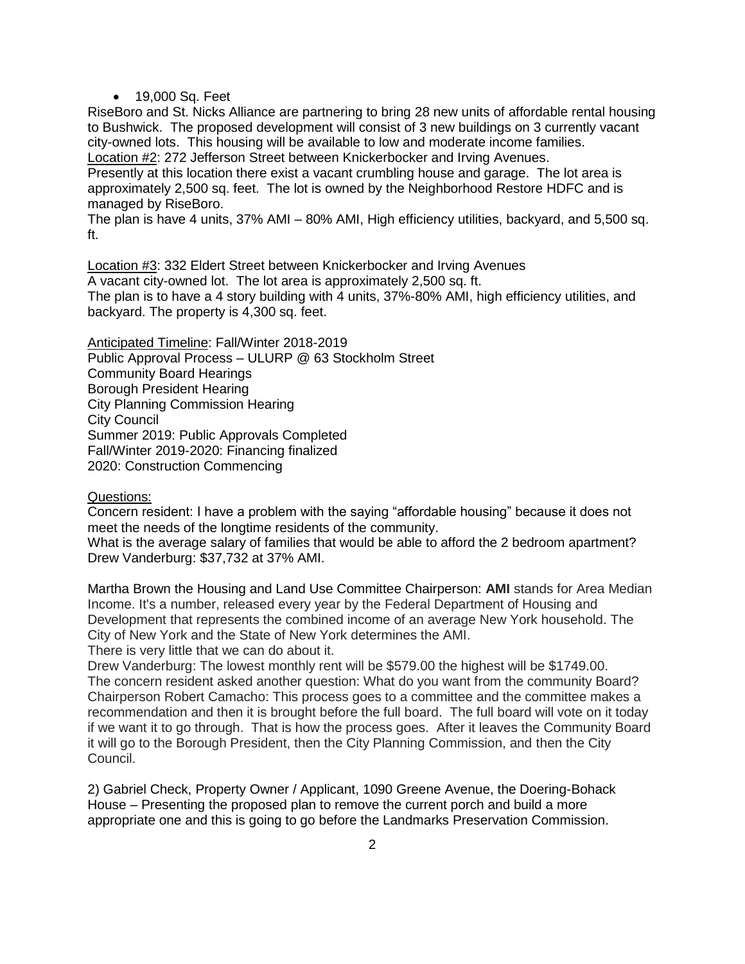• 19,000 Sq. Feet

RiseBoro and St. Nicks Alliance are partnering to bring 28 new units of affordable rental housing to Bushwick. The proposed development will consist of 3 new buildings on 3 currently vacant city-owned lots. This housing will be available to low and moderate income families. Location #2: 272 Jefferson Street between Knickerbocker and Irving Avenues.

Presently at this location there exist a vacant crumbling house and garage. The lot area is approximately 2,500 sq. feet. The lot is owned by the Neighborhood Restore HDFC and is managed by RiseBoro.

The plan is have 4 units, 37% AMI – 80% AMI, High efficiency utilities, backyard, and 5,500 sq. ft.

Location #3: 332 Eldert Street between Knickerbocker and Irving Avenues A vacant city-owned lot. The lot area is approximately 2,500 sq. ft. The plan is to have a 4 story building with 4 units, 37%-80% AMI, high efficiency utilities, and backyard. The property is 4,300 sq. feet.

Anticipated Timeline: Fall/Winter 2018-2019 Public Approval Process – ULURP @ 63 Stockholm Street Community Board Hearings Borough President Hearing City Planning Commission Hearing City Council Summer 2019: Public Approvals Completed Fall/Winter 2019-2020: Financing finalized 2020: Construction Commencing

#### Questions:

Concern resident: I have a problem with the saying "affordable housing" because it does not meet the needs of the longtime residents of the community.

What is the average salary of families that would be able to afford the 2 bedroom apartment? Drew Vanderburg: \$37,732 at 37% AMI.

Martha Brown the Housing and Land Use Committee Chairperson: **AMI** stands for Area Median Income. It's a number, released every year by the Federal Department of Housing and Development that represents the combined income of an average New York household. The City of New York and the State of New York determines the AMI.

There is very little that we can do about it.

Drew Vanderburg: The lowest monthly rent will be \$579.00 the highest will be \$1749.00. The concern resident asked another question: What do you want from the community Board? Chairperson Robert Camacho: This process goes to a committee and the committee makes a recommendation and then it is brought before the full board. The full board will vote on it today if we want it to go through. That is how the process goes. After it leaves the Community Board it will go to the Borough President, then the City Planning Commission, and then the City Council.

2) Gabriel Check, Property Owner / Applicant, 1090 Greene Avenue, the Doering-Bohack House – Presenting the proposed plan to remove the current porch and build a more appropriate one and this is going to go before the Landmarks Preservation Commission.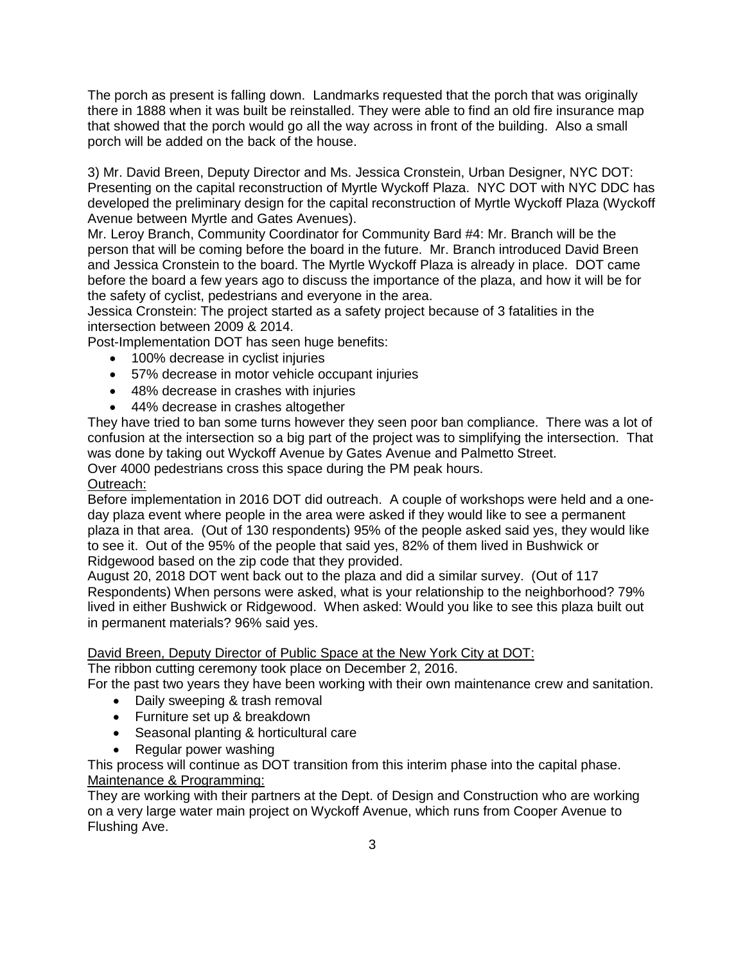The porch as present is falling down. Landmarks requested that the porch that was originally there in 1888 when it was built be reinstalled. They were able to find an old fire insurance map that showed that the porch would go all the way across in front of the building. Also a small porch will be added on the back of the house.

3) Mr. David Breen, Deputy Director and Ms. Jessica Cronstein, Urban Designer, NYC DOT: Presenting on the capital reconstruction of Myrtle Wyckoff Plaza. NYC DOT with NYC DDC has developed the preliminary design for the capital reconstruction of Myrtle Wyckoff Plaza (Wyckoff Avenue between Myrtle and Gates Avenues).

Mr. Leroy Branch, Community Coordinator for Community Bard #4: Mr. Branch will be the person that will be coming before the board in the future. Mr. Branch introduced David Breen and Jessica Cronstein to the board. The Myrtle Wyckoff Plaza is already in place. DOT came before the board a few years ago to discuss the importance of the plaza, and how it will be for the safety of cyclist, pedestrians and everyone in the area.

Jessica Cronstein: The project started as a safety project because of 3 fatalities in the intersection between 2009 & 2014.

Post-Implementation DOT has seen huge benefits:

- 100% decrease in cyclist injuries
- 57% decrease in motor vehicle occupant injuries
- 48% decrease in crashes with injuries
- 44% decrease in crashes altogether

They have tried to ban some turns however they seen poor ban compliance. There was a lot of confusion at the intersection so a big part of the project was to simplifying the intersection. That was done by taking out Wyckoff Avenue by Gates Avenue and Palmetto Street.

Over 4000 pedestrians cross this space during the PM peak hours.

## Outreach:

Before implementation in 2016 DOT did outreach. A couple of workshops were held and a oneday plaza event where people in the area were asked if they would like to see a permanent plaza in that area. (Out of 130 respondents) 95% of the people asked said yes, they would like to see it. Out of the 95% of the people that said yes, 82% of them lived in Bushwick or Ridgewood based on the zip code that they provided.

August 20, 2018 DOT went back out to the plaza and did a similar survey. (Out of 117 Respondents) When persons were asked, what is your relationship to the neighborhood? 79% lived in either Bushwick or Ridgewood. When asked: Would you like to see this plaza built out in permanent materials? 96% said yes.

## David Breen, Deputy Director of Public Space at the New York City at DOT:

The ribbon cutting ceremony took place on December 2, 2016.

For the past two years they have been working with their own maintenance crew and sanitation.

- Daily sweeping & trash removal
- Furniture set up & breakdown
- Seasonal planting & horticultural care
- Regular power washing

This process will continue as DOT transition from this interim phase into the capital phase. Maintenance & Programming:

They are working with their partners at the Dept. of Design and Construction who are working on a very large water main project on Wyckoff Avenue, which runs from Cooper Avenue to Flushing Ave.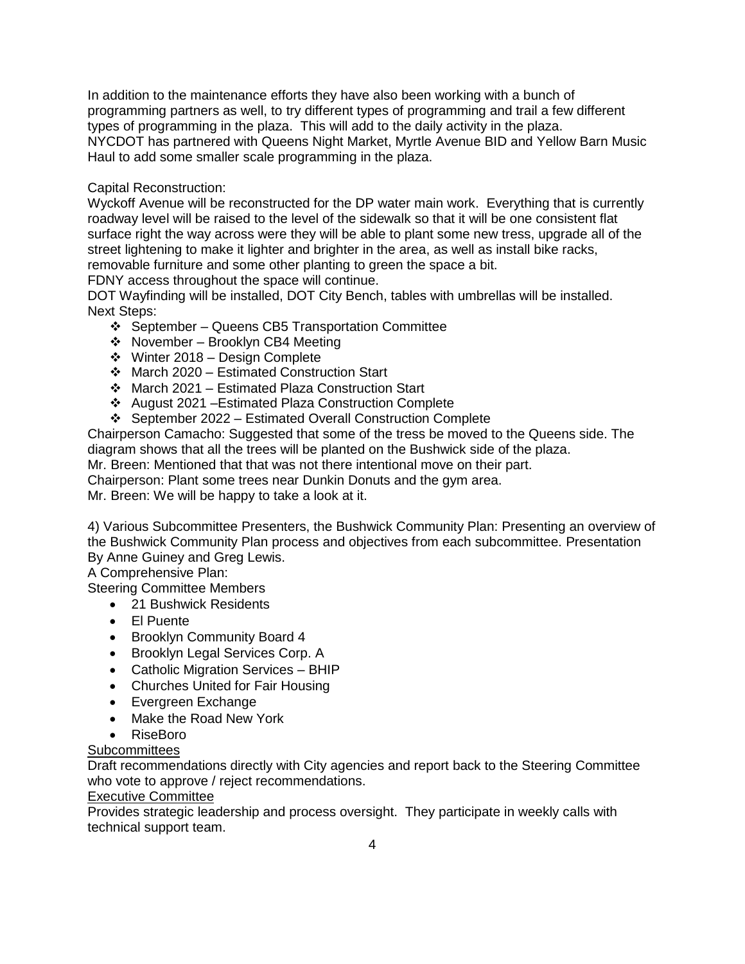In addition to the maintenance efforts they have also been working with a bunch of programming partners as well, to try different types of programming and trail a few different types of programming in the plaza. This will add to the daily activity in the plaza. NYCDOT has partnered with Queens Night Market, Myrtle Avenue BID and Yellow Barn Music Haul to add some smaller scale programming in the plaza.

## Capital Reconstruction:

Wyckoff Avenue will be reconstructed for the DP water main work. Everything that is currently roadway level will be raised to the level of the sidewalk so that it will be one consistent flat surface right the way across were they will be able to plant some new tress, upgrade all of the street lightening to make it lighter and brighter in the area, as well as install bike racks, removable furniture and some other planting to green the space a bit.

FDNY access throughout the space will continue.

DOT Wayfinding will be installed, DOT City Bench, tables with umbrellas will be installed. Next Steps:

- $\div$  September Queens CB5 Transportation Committee
- $\div$  November Brooklyn CB4 Meeting
- Winter 2018 Design Complete
- March 2020 Estimated Construction Start
- March 2021 Estimated Plaza Construction Start
- August 2021 –Estimated Plaza Construction Complete
- September 2022 Estimated Overall Construction Complete

Chairperson Camacho: Suggested that some of the tress be moved to the Queens side. The diagram shows that all the trees will be planted on the Bushwick side of the plaza.

Mr. Breen: Mentioned that that was not there intentional move on their part.

Chairperson: Plant some trees near Dunkin Donuts and the gym area.

Mr. Breen: We will be happy to take a look at it.

4) Various Subcommittee Presenters, the Bushwick Community Plan: Presenting an overview of the Bushwick Community Plan process and objectives from each subcommittee. Presentation By Anne Guiney and Greg Lewis.

A Comprehensive Plan:

Steering Committee Members

- 21 Bushwick Residents
- El Puente
- Brooklyn Community Board 4
- Brooklyn Legal Services Corp. A
- Catholic Migration Services BHIP
- Churches United for Fair Housing
- Evergreen Exchange
- Make the Road New York
- RiseBoro

**Subcommittees** 

Draft recommendations directly with City agencies and report back to the Steering Committee who vote to approve / reject recommendations.

# Executive Committee

Provides strategic leadership and process oversight. They participate in weekly calls with technical support team.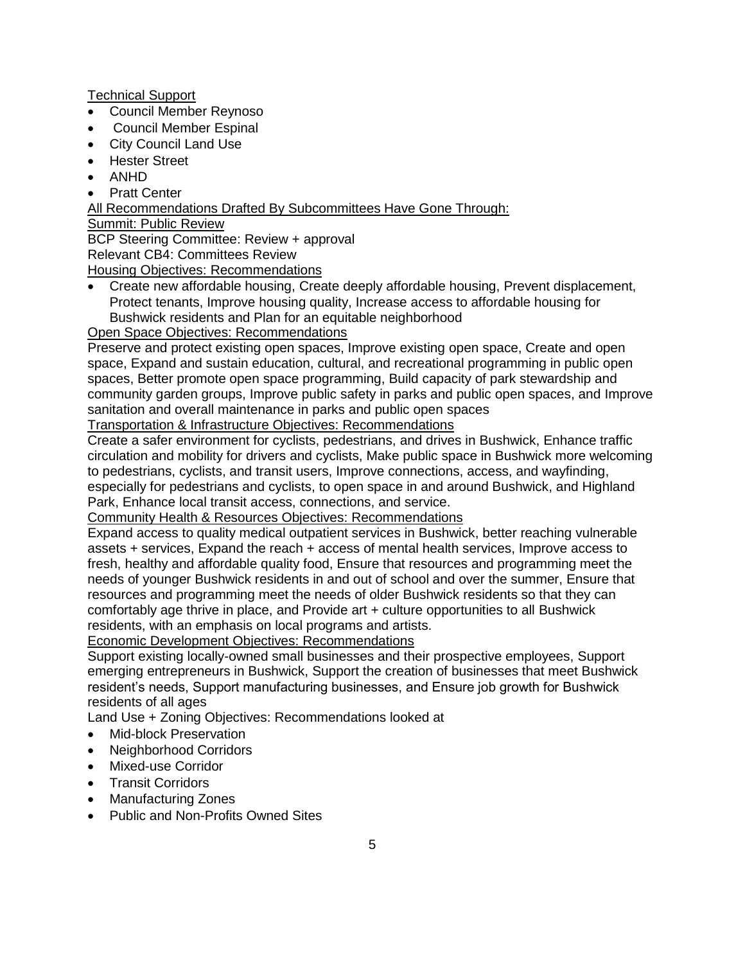Technical Support

- Council Member Reynoso
- Council Member Espinal
- City Council Land Use
- Hester Street
- ANHD
- Pratt Center

All Recommendations Drafted By Subcommittees Have Gone Through:

Summit: Public Review

BCP Steering Committee: Review + approval

Relevant CB4: Committees Review

Housing Objectives: Recommendations

 Create new affordable housing, Create deeply affordable housing, Prevent displacement, Protect tenants, Improve housing quality, Increase access to affordable housing for Bushwick residents and Plan for an equitable neighborhood

Open Space Objectives: Recommendations

Preserve and protect existing open spaces, Improve existing open space, Create and open space, Expand and sustain education, cultural, and recreational programming in public open spaces, Better promote open space programming, Build capacity of park stewardship and community garden groups, Improve public safety in parks and public open spaces, and Improve sanitation and overall maintenance in parks and public open spaces

Transportation & Infrastructure Objectives: Recommendations

Create a safer environment for cyclists, pedestrians, and drives in Bushwick, Enhance traffic circulation and mobility for drivers and cyclists, Make public space in Bushwick more welcoming to pedestrians, cyclists, and transit users, Improve connections, access, and wayfinding, especially for pedestrians and cyclists, to open space in and around Bushwick, and Highland Park, Enhance local transit access, connections, and service.

Community Health & Resources Objectives: Recommendations

Expand access to quality medical outpatient services in Bushwick, better reaching vulnerable assets + services, Expand the reach + access of mental health services, Improve access to fresh, healthy and affordable quality food, Ensure that resources and programming meet the needs of younger Bushwick residents in and out of school and over the summer, Ensure that resources and programming meet the needs of older Bushwick residents so that they can comfortably age thrive in place, and Provide art + culture opportunities to all Bushwick residents, with an emphasis on local programs and artists.

Economic Development Objectives: Recommendations

Support existing locally-owned small businesses and their prospective employees, Support emerging entrepreneurs in Bushwick, Support the creation of businesses that meet Bushwick resident's needs, Support manufacturing businesses, and Ensure job growth for Bushwick residents of all ages

Land Use + Zoning Objectives: Recommendations looked at

- Mid-block Preservation
- Neighborhood Corridors
- Mixed-use Corridor
- Transit Corridors
- Manufacturing Zones
- Public and Non-Profits Owned Sites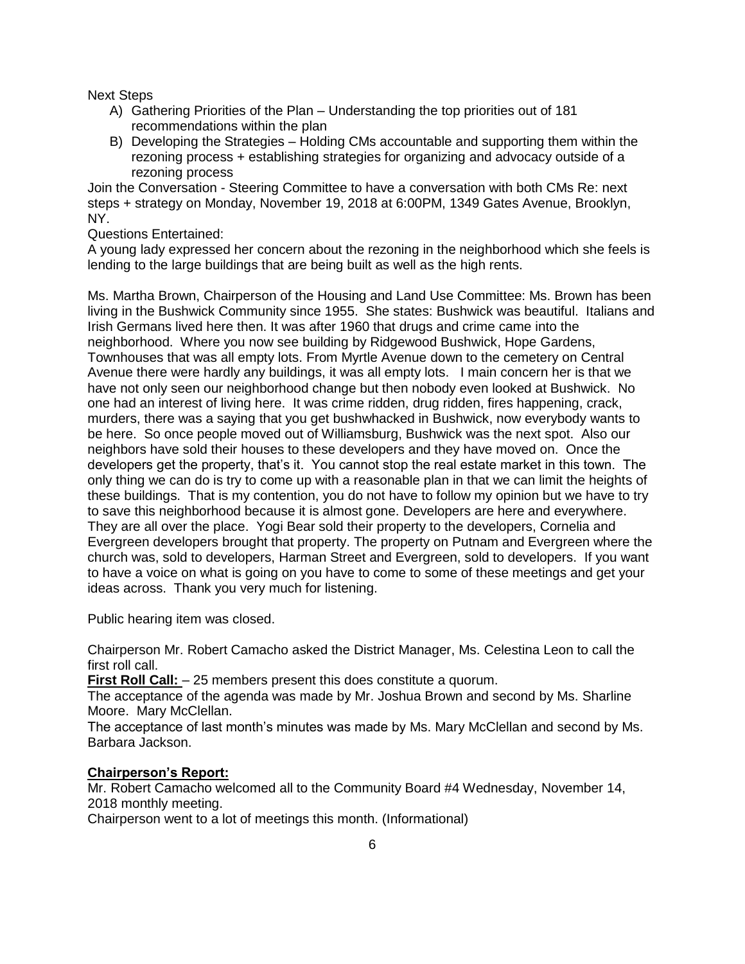Next Steps

- A) Gathering Priorities of the Plan Understanding the top priorities out of 181 recommendations within the plan
- B) Developing the Strategies Holding CMs accountable and supporting them within the rezoning process + establishing strategies for organizing and advocacy outside of a rezoning process

Join the Conversation - Steering Committee to have a conversation with both CMs Re: next steps + strategy on Monday, November 19, 2018 at 6:00PM, 1349 Gates Avenue, Brooklyn, NY.

Questions Entertained:

A young lady expressed her concern about the rezoning in the neighborhood which she feels is lending to the large buildings that are being built as well as the high rents.

Ms. Martha Brown, Chairperson of the Housing and Land Use Committee: Ms. Brown has been living in the Bushwick Community since 1955. She states: Bushwick was beautiful. Italians and Irish Germans lived here then. It was after 1960 that drugs and crime came into the neighborhood. Where you now see building by Ridgewood Bushwick, Hope Gardens, Townhouses that was all empty lots. From Myrtle Avenue down to the cemetery on Central Avenue there were hardly any buildings, it was all empty lots. I main concern her is that we have not only seen our neighborhood change but then nobody even looked at Bushwick. No one had an interest of living here. It was crime ridden, drug ridden, fires happening, crack, murders, there was a saying that you get bushwhacked in Bushwick, now everybody wants to be here. So once people moved out of Williamsburg, Bushwick was the next spot. Also our neighbors have sold their houses to these developers and they have moved on. Once the developers get the property, that's it. You cannot stop the real estate market in this town. The only thing we can do is try to come up with a reasonable plan in that we can limit the heights of these buildings. That is my contention, you do not have to follow my opinion but we have to try to save this neighborhood because it is almost gone. Developers are here and everywhere. They are all over the place. Yogi Bear sold their property to the developers, Cornelia and Evergreen developers brought that property. The property on Putnam and Evergreen where the church was, sold to developers, Harman Street and Evergreen, sold to developers. If you want to have a voice on what is going on you have to come to some of these meetings and get your ideas across. Thank you very much for listening.

Public hearing item was closed.

Chairperson Mr. Robert Camacho asked the District Manager, Ms. Celestina Leon to call the first roll call.

**First Roll Call:**  $-25$  members present this does constitute a quorum.

The acceptance of the agenda was made by Mr. Joshua Brown and second by Ms. Sharline Moore. Mary McClellan.

The acceptance of last month's minutes was made by Ms. Mary McClellan and second by Ms. Barbara Jackson.

## **Chairperson's Report:**

Mr. Robert Camacho welcomed all to the Community Board #4 Wednesday, November 14, 2018 monthly meeting.

Chairperson went to a lot of meetings this month. (Informational)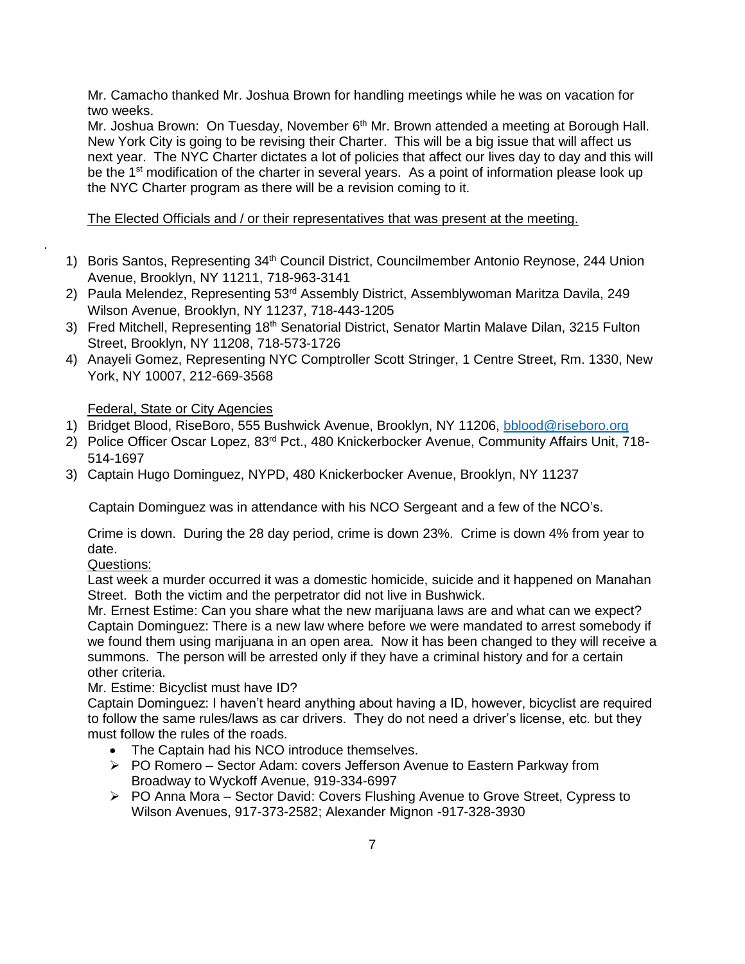Mr. Camacho thanked Mr. Joshua Brown for handling meetings while he was on vacation for two weeks.

Mr. Joshua Brown: On Tuesday, November 6<sup>th</sup> Mr. Brown attended a meeting at Borough Hall. New York City is going to be revising their Charter. This will be a big issue that will affect us next year. The NYC Charter dictates a lot of policies that affect our lives day to day and this will be the  $1<sup>st</sup>$  modification of the charter in several years. As a point of information please look up the NYC Charter program as there will be a revision coming to it.

## The Elected Officials and / or their representatives that was present at the meeting.

- 1) Boris Santos, Representing 34<sup>th</sup> Council District, Councilmember Antonio Reynose, 244 Union Avenue, Brooklyn, NY 11211, 718-963-3141
- 2) Paula Melendez, Representing 53<sup>rd</sup> Assembly District, Assemblywoman Maritza Davila, 249 Wilson Avenue, Brooklyn, NY 11237, 718-443-1205
- 3) Fred Mitchell, Representing 18<sup>th</sup> Senatorial District, Senator Martin Malave Dilan, 3215 Fulton Street, Brooklyn, NY 11208, 718-573-1726
- 4) Anayeli Gomez, Representing NYC Comptroller Scott Stringer, 1 Centre Street, Rm. 1330, New York, NY 10007, 212-669-3568

## Federal, State or City Agencies

- 1) Bridget Blood, RiseBoro, 555 Bushwick Avenue, Brooklyn, NY 11206, [bblood@riseboro.org](mailto:bblood@riseboro.org)
- 2) Police Officer Oscar Lopez, 83<sup>rd</sup> Pct., 480 Knickerbocker Avenue, Community Affairs Unit, 718-514-1697
- 3) Captain Hugo Dominguez, NYPD, 480 Knickerbocker Avenue, Brooklyn, NY 11237

Captain Dominguez was in attendance with his NCO Sergeant and a few of the NCO's.

Crime is down. During the 28 day period, crime is down 23%. Crime is down 4% from year to date.

## Questions:

.

Last week a murder occurred it was a domestic homicide, suicide and it happened on Manahan Street. Both the victim and the perpetrator did not live in Bushwick.

Mr. Ernest Estime: Can you share what the new marijuana laws are and what can we expect? Captain Dominguez: There is a new law where before we were mandated to arrest somebody if we found them using marijuana in an open area. Now it has been changed to they will receive a summons. The person will be arrested only if they have a criminal history and for a certain other criteria.

## Mr. Estime: Bicyclist must have ID?

Captain Dominguez: I haven't heard anything about having a ID, however, bicyclist are required to follow the same rules/laws as car drivers. They do not need a driver's license, etc. but they must follow the rules of the roads.

- The Captain had his NCO introduce themselves.
- ▶ PO Romero Sector Adam: covers Jefferson Avenue to Eastern Parkway from Broadway to Wyckoff Avenue, 919-334-6997
- ▶ PO Anna Mora Sector David: Covers Flushing Avenue to Grove Street, Cypress to Wilson Avenues, 917-373-2582; Alexander Mignon -917-328-3930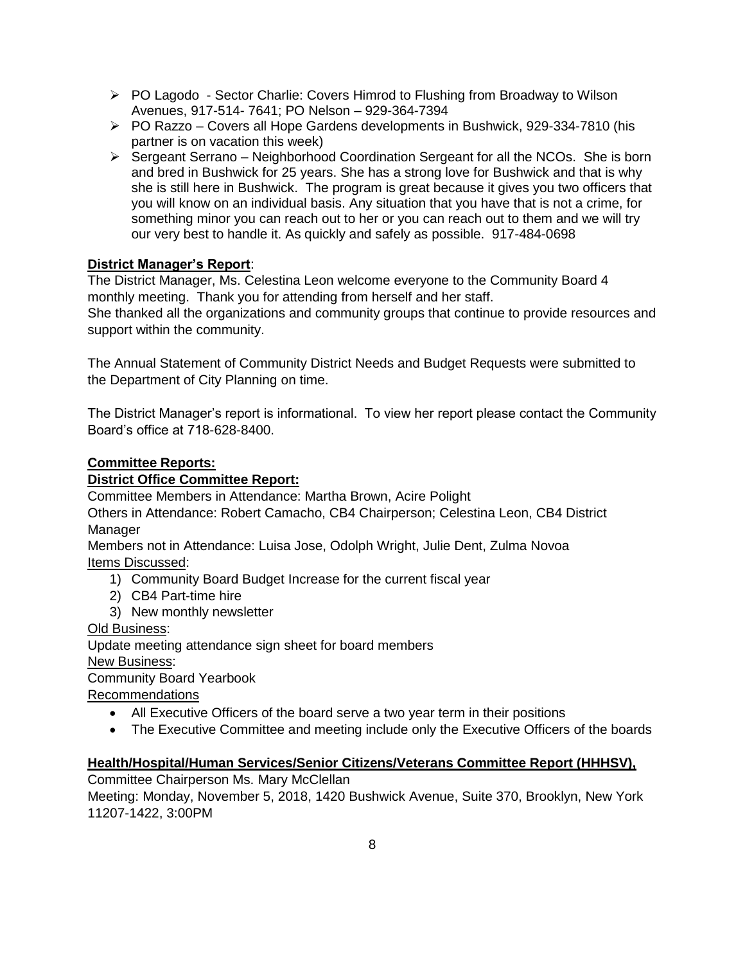- $\triangleright$  PO Lagodo Sector Charlie: Covers Himrod to Flushing from Broadway to Wilson Avenues, 917-514- 7641; PO Nelson – 929-364-7394
- $\triangleright$  PO Razzo Covers all Hope Gardens developments in Bushwick, 929-334-7810 (his partner is on vacation this week)
- $\triangleright$  Sergeant Serrano Neighborhood Coordination Sergeant for all the NCOs. She is born and bred in Bushwick for 25 years. She has a strong love for Bushwick and that is why she is still here in Bushwick. The program is great because it gives you two officers that you will know on an individual basis. Any situation that you have that is not a crime, for something minor you can reach out to her or you can reach out to them and we will try our very best to handle it. As quickly and safely as possible. 917-484-0698

# **District Manager's Report**:

The District Manager, Ms. Celestina Leon welcome everyone to the Community Board 4 monthly meeting. Thank you for attending from herself and her staff. She thanked all the organizations and community groups that continue to provide resources and support within the community.

The Annual Statement of Community District Needs and Budget Requests were submitted to the Department of City Planning on time.

The District Manager's report is informational. To view her report please contact the Community Board's office at 718-628-8400.

## **Committee Reports:**

## **District Office Committee Report:**

Committee Members in Attendance: Martha Brown, Acire Polight

Others in Attendance: Robert Camacho, CB4 Chairperson; Celestina Leon, CB4 District Manager

Members not in Attendance: Luisa Jose, Odolph Wright, Julie Dent, Zulma Novoa Items Discussed:

- 1) Community Board Budget Increase for the current fiscal year
- 2) CB4 Part-time hire
- 3) New monthly newsletter

Old Business:

Update meeting attendance sign sheet for board members New Business: Community Board Yearbook Recommendations

- All Executive Officers of the board serve a two year term in their positions
- The Executive Committee and meeting include only the Executive Officers of the boards

# **Health/Hospital/Human Services/Senior Citizens/Veterans Committee Report (HHHSV),**

Committee Chairperson Ms. Mary McClellan Meeting: Monday, November 5, 2018, 1420 Bushwick Avenue, Suite 370, Brooklyn, New York 11207-1422, 3:00PM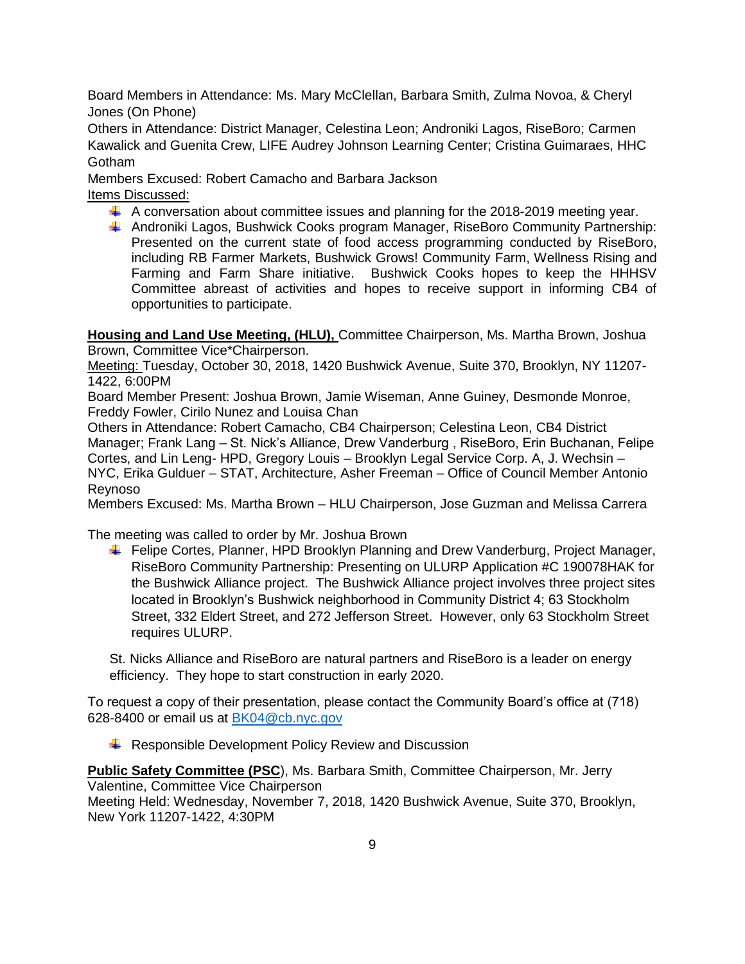Board Members in Attendance: Ms. Mary McClellan, Barbara Smith, Zulma Novoa, & Cheryl Jones (On Phone)

Others in Attendance: District Manager, Celestina Leon; Androniki Lagos, RiseBoro; Carmen Kawalick and Guenita Crew, LIFE Audrey Johnson Learning Center; Cristina Guimaraes, HHC Gotham

Members Excused: Robert Camacho and Barbara Jackson Items Discussed:

- $\ddot{\phantom{1}}$  A conversation about committee issues and planning for the 2018-2019 meeting year.
- Androniki Lagos, Bushwick Cooks program Manager, RiseBoro Community Partnership: Presented on the current state of food access programming conducted by RiseBoro, including RB Farmer Markets, Bushwick Grows! Community Farm, Wellness Rising and Farming and Farm Share initiative. Bushwick Cooks hopes to keep the HHHSV Committee abreast of activities and hopes to receive support in informing CB4 of opportunities to participate.

**Housing and Land Use Meeting, (HLU),** Committee Chairperson, Ms. Martha Brown, Joshua Brown, Committee Vice\*Chairperson.

Meeting: Tuesday, October 30, 2018, 1420 Bushwick Avenue, Suite 370, Brooklyn, NY 11207- 1422, 6:00PM

Board Member Present: Joshua Brown, Jamie Wiseman, Anne Guiney, Desmonde Monroe, Freddy Fowler, Cirilo Nunez and Louisa Chan

Others in Attendance: Robert Camacho, CB4 Chairperson; Celestina Leon, CB4 District Manager; Frank Lang – St. Nick's Alliance, Drew Vanderburg , RiseBoro, Erin Buchanan, Felipe Cortes, and Lin Leng- HPD, Gregory Louis – Brooklyn Legal Service Corp. A, J. Wechsin – NYC, Erika Gulduer – STAT, Architecture, Asher Freeman – Office of Council Member Antonio Reynoso

Members Excused: Ms. Martha Brown – HLU Chairperson, Jose Guzman and Melissa Carrera

The meeting was called to order by Mr. Joshua Brown

Felipe Cortes, Planner, HPD Brooklyn Planning and Drew Vanderburg, Project Manager, RiseBoro Community Partnership: Presenting on ULURP Application #C 190078HAK for the Bushwick Alliance project. The Bushwick Alliance project involves three project sites located in Brooklyn's Bushwick neighborhood in Community District 4; 63 Stockholm Street, 332 Eldert Street, and 272 Jefferson Street. However, only 63 Stockholm Street requires ULURP.

St. Nicks Alliance and RiseBoro are natural partners and RiseBoro is a leader on energy efficiency. They hope to start construction in early 2020.

To request a copy of their presentation, please contact the Community Board's office at (718) 628-8400 or email us at [BK04@cb.nyc.gov](mailto:BK04@cb.nyc.gov)

 $\overline{\phantom{a}}$  Responsible Development Policy Review and Discussion

**Public Safety Committee (PSC**), Ms. Barbara Smith, Committee Chairperson, Mr. Jerry Valentine, Committee Vice Chairperson

Meeting Held: Wednesday, November 7, 2018, 1420 Bushwick Avenue, Suite 370, Brooklyn, New York 11207-1422, 4:30PM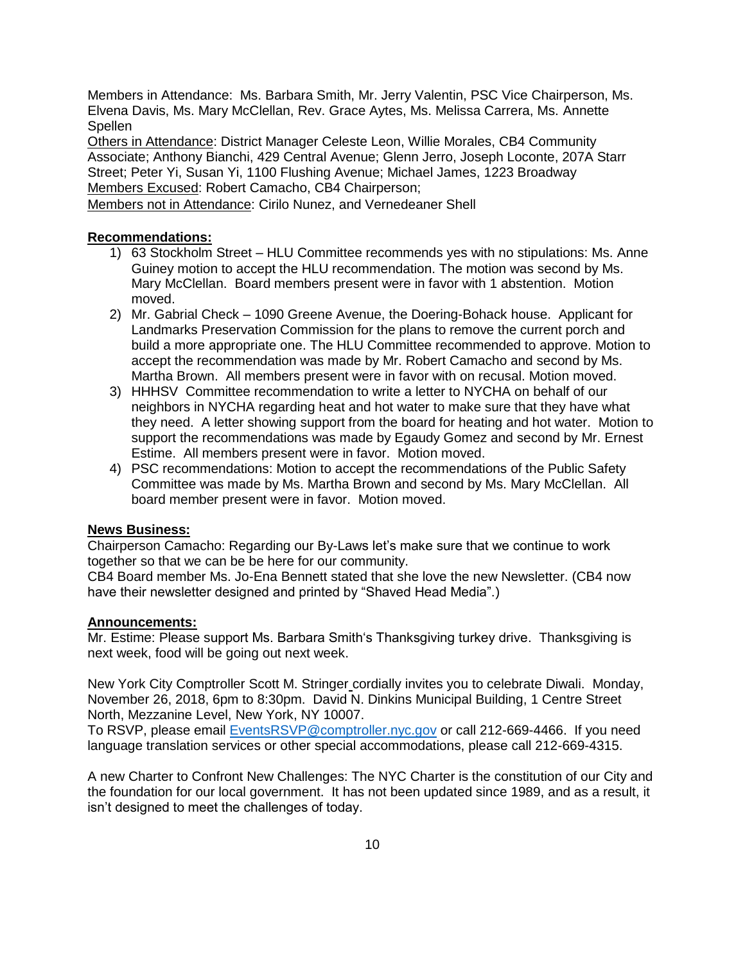Members in Attendance: Ms. Barbara Smith, Mr. Jerry Valentin, PSC Vice Chairperson, Ms. Elvena Davis, Ms. Mary McClellan, Rev. Grace Aytes, Ms. Melissa Carrera, Ms. Annette **Spellen** 

Others in Attendance: District Manager Celeste Leon, Willie Morales, CB4 Community Associate; Anthony Bianchi, 429 Central Avenue; Glenn Jerro, Joseph Loconte, 207A Starr Street; Peter Yi, Susan Yi, 1100 Flushing Avenue; Michael James, 1223 Broadway Members Excused: Robert Camacho, CB4 Chairperson;

Members not in Attendance: Cirilo Nunez, and Vernedeaner Shell

#### **Recommendations:**

- 1) 63 Stockholm Street HLU Committee recommends yes with no stipulations: Ms. Anne Guiney motion to accept the HLU recommendation. The motion was second by Ms. Mary McClellan. Board members present were in favor with 1 abstention. Motion moved.
- 2) Mr. Gabrial Check 1090 Greene Avenue, the Doering-Bohack house. Applicant for Landmarks Preservation Commission for the plans to remove the current porch and build a more appropriate one. The HLU Committee recommended to approve. Motion to accept the recommendation was made by Mr. Robert Camacho and second by Ms. Martha Brown. All members present were in favor with on recusal. Motion moved.
- 3) HHHSV Committee recommendation to write a letter to NYCHA on behalf of our neighbors in NYCHA regarding heat and hot water to make sure that they have what they need. A letter showing support from the board for heating and hot water. Motion to support the recommendations was made by Egaudy Gomez and second by Mr. Ernest Estime. All members present were in favor. Motion moved.
- 4) PSC recommendations: Motion to accept the recommendations of the Public Safety Committee was made by Ms. Martha Brown and second by Ms. Mary McClellan. All board member present were in favor. Motion moved.

#### **News Business:**

Chairperson Camacho: Regarding our By-Laws let's make sure that we continue to work together so that we can be be here for our community.

CB4 Board member Ms. Jo-Ena Bennett stated that she love the new Newsletter. (CB4 now have their newsletter designed and printed by "Shaved Head Media".)

#### **Announcements:**

Mr. Estime: Please support Ms. Barbara Smith's Thanksgiving turkey drive. Thanksgiving is next week, food will be going out next week.

New York City Comptroller Scott M. Stringer cordially invites you to celebrate Diwali. Monday, November 26, 2018, 6pm to 8:30pm. David N. Dinkins Municipal Building, 1 Centre Street North, Mezzanine Level, New York, NY 10007.

To RSVP, please email [EventsRSVP@comptroller.nyc.gov](mailto:EventsRSVP@comptroller.nyc.gov) or call 212-669-4466. If you need language translation services or other special accommodations, please call 212-669-4315.

A new Charter to Confront New Challenges: The NYC Charter is the constitution of our City and the foundation for our local government. It has not been updated since 1989, and as a result, it isn't designed to meet the challenges of today.